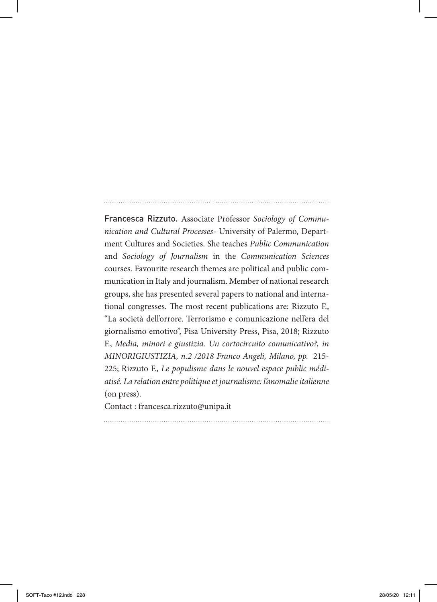Francesca Rizzuto. Associate Professor *Sociology of Communication and Cultural Processes*- University of Palermo, Department Cultures and Societies. She teaches *Public Communication* and *Sociology of Journalism* in the *Communication Sciences* courses. Favourite research themes are political and public communication in Italy and journalism. Member of national research groups, she has presented several papers to national and international congresses. The most recent publications are: Rizzuto F., "La società dell'orrore. Terrorismo e comunicazione nell'era del giornalismo emotivo", Pisa University Press, Pisa, 2018; Rizzuto F., *Media, minori e giustizia. Un cortocircuito comunicativo?, in MINORIGIUSTIZIA, n.2 /2018 Franco Angeli, Milano, pp.* 215- 225; Rizzuto F., *Le populisme dans le nouvel espace public médiatisé. La relation entre politique et journalisme: l'anomalie italienne*  (on press).

Contact : francesca.rizzuto@unipa.it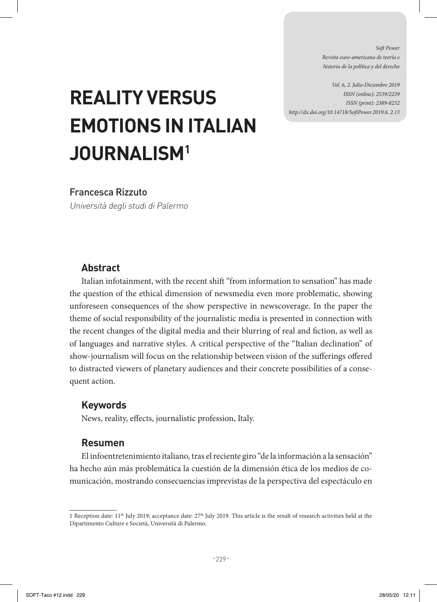*Soft Power Revista euro-americana de teoría e historia de la política y del derecho* 

*Vol. 6, 2. Julio-Diciembre 2019 ISSN (online): 2539/2239 ISSN (print): 2389-8232 http://dx.doi.org/10.14718/SoftPower.2019.6. 2.13*

# **REALITY VERSUS EMOTIONS IN ITALIAN JOURNALISM1**

# Francesca Rizzuto

Università degli studi di Palermo

# **Abstract**

Italian infotainment, with the recent shift "from information to sensation" has made the question of the ethical dimension of newsmedia even more problematic, showing unforeseen consequences of the show perspective in newscoverage. In the paper the theme of social responsibility of the journalistic media is presented in connection with the recent changes of the digital media and their blurring of real and fiction, as well as of languages and narrative styles. A critical perspective of the "Italian declination" of show-journalism will focus on the relationship between vision of the sufferings offered to distracted viewers of planetary audiences and their concrete possibilities of a consequent action.

#### **Keywords**

News, reality, effects, journalistic profession, Italy.

## **Resumen**

El infoentretenimiento italiano, tras el reciente giro "de la información a la sensación" ha hecho aún más problemática la cuestión de la dimensión ética de los medios de comunicación, mostrando consecuencias imprevistas de la perspectiva del espectáculo en

<sup>1</sup> Reception date:  $11<sup>th</sup>$  July 2019; acceptance date:  $27<sup>th</sup>$  July 2019. This article is the result of research activities held at the Dipartimento Culture e Società, Università di Palermo.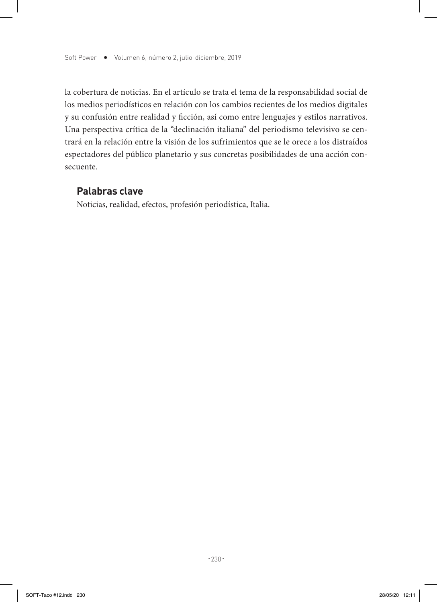la cobertura de noticias. En el artículo se trata el tema de la responsabilidad social de los medios periodísticos en relación con los cambios recientes de los medios digitales y su confusión entre realidad y ficción, así como entre lenguajes y estilos narrativos. Una perspectiva crítica de la "declinación italiana" del periodismo televisivo se centrará en la relación entre la visión de los sufrimientos que se le orece a los distraídos espectadores del público planetario y sus concretas posibilidades de una acción consecuente.

## **Palabras clave**

Noticias, realidad, efectos, profesión periodística, Italia.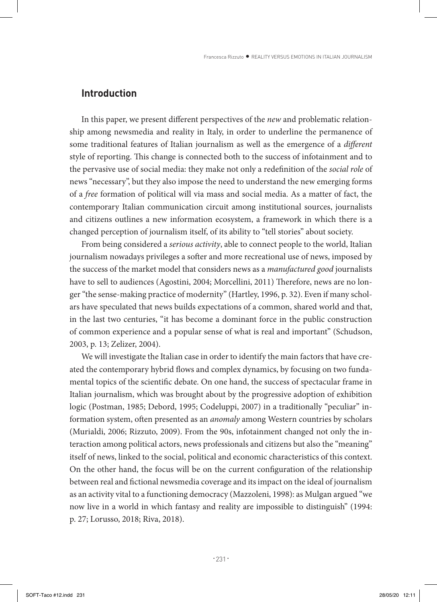# **Introduction**

In this paper, we present different perspectives of the *new* and problematic relationship among newsmedia and reality in Italy, in order to underline the permanence of some traditional features of Italian journalism as well as the emergence of a *different* style of reporting. This change is connected both to the success of infotainment and to the pervasive use of social media: they make not only a redefinition of the *social role* of news "necessary", but they also impose the need to understand the new emerging forms of a *free* formation of political will via mass and social media. As a matter of fact, the contemporary Italian communication circuit among institutional sources, journalists and citizens outlines a new information ecosystem, a framework in which there is a changed perception of journalism itself, of its ability to "tell stories" about society.

From being considered a *serious activity*, able to connect people to the world, Italian journalism nowadays privileges a softer and more recreational use of news, imposed by the success of the market model that considers news as a *manufactured good* journalists have to sell to audiences (Agostini, 2004; Morcellini, 2011) Therefore, news are no longer "the sense-making practice of modernity" (Hartley, 1996, p. 32). Even if many scholars have speculated that news builds expectations of a common, shared world and that, in the last two centuries, "it has become a dominant force in the public construction of common experience and a popular sense of what is real and important" (Schudson, 2003, p. 13; Zelizer, 2004).

We will investigate the Italian case in order to identify the main factors that have created the contemporary hybrid flows and complex dynamics, by focusing on two fundamental topics of the scientific debate. On one hand, the success of spectacular frame in Italian journalism, which was brought about by the progressive adoption of exhibition logic (Postman, 1985; Debord, 1995; Codeluppi, 2007) in a traditionally "peculiar" information system, often presented as an *anomaly* among Western countries by scholars (Murialdi, 2006; Rizzuto, 2009). From the 90s, infotainment changed not only the interaction among political actors, news professionals and citizens but also the "meaning" itself of news, linked to the social, political and economic characteristics of this context. On the other hand, the focus will be on the current configuration of the relationship between real and fictional newsmedia coverage and its impact on the ideal of journalism as an activity vital to a functioning democracy (Mazzoleni, 1998): as Mulgan argued "we now live in a world in which fantasy and reality are impossible to distinguish" (1994: p. 27; Lorusso, 2018; Riva, 2018).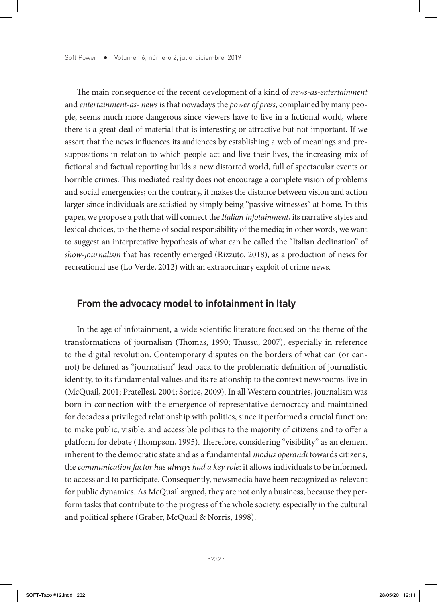The main consequence of the recent development of a kind of *news-as-entertainment* and *entertainment-as- news* is that nowadays the *power of press*, complained by many people, seems much more dangerous since viewers have to live in a fictional world, where there is a great deal of material that is interesting or attractive but not important. If we assert that the news influences its audiences by establishing a web of meanings and presuppositions in relation to which people act and live their lives, the increasing mix of fictional and factual reporting builds a new distorted world, full of spectacular events or horrible crimes. This mediated reality does not encourage a complete vision of problems and social emergencies; on the contrary, it makes the distance between vision and action larger since individuals are satisfied by simply being "passive witnesses" at home. In this paper, we propose a path that will connect the *Italian infotainment*, its narrative styles and lexical choices, to the theme of social responsibility of the media; in other words, we want to suggest an interpretative hypothesis of what can be called the "Italian declination" of *show-journalism* that has recently emerged (Rizzuto, 2018), as a production of news for recreational use (Lo Verde, 2012) with an extraordinary exploit of crime news.

#### **From the advocacy model to infotainment in Italy**

In the age of infotainment, a wide scientific literature focused on the theme of the transformations of journalism (Thomas, 1990; Thussu, 2007), especially in reference to the digital revolution. Contemporary disputes on the borders of what can (or cannot) be defined as "journalism" lead back to the problematic definition of journalistic identity, to its fundamental values and its relationship to the context newsrooms live in (McQuail, 2001; Pratellesi, 2004; Sorice, 2009). In all Western countries, journalism was born in connection with the emergence of representative democracy and maintained for decades a privileged relationship with politics, since it performed a crucial function: to make public, visible, and accessible politics to the majority of citizens and to offer a platform for debate (Thompson, 1995). Therefore, considering "visibility" as an element inherent to the democratic state and as a fundamental *modus operandi* towards citizens, the *communication factor has always had a key role*: it allows individuals to be informed, to access and to participate. Consequently, newsmedia have been recognized as relevant for public dynamics. As McQuail argued, they are not only a business, because they perform tasks that contribute to the progress of the whole society, especially in the cultural and political sphere (Graber, McQuail & Norris, 1998).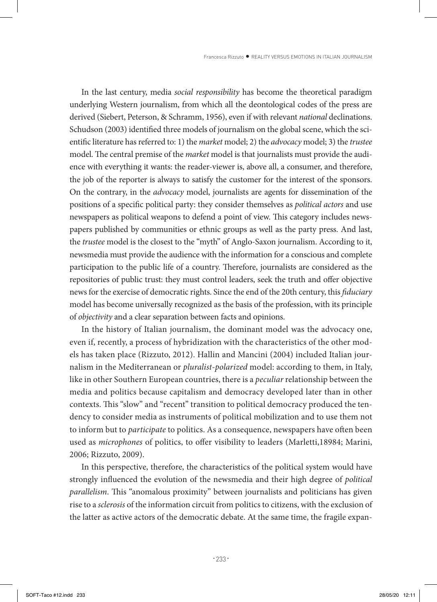In the last century, media *social responsibility* has become the theoretical paradigm underlying Western journalism, from which all the deontological codes of the press are derived (Siebert, Peterson, & Schramm, 1956), even if with relevant *national* declinations. Schudson (2003) identified three models of journalism on the global scene, which the scientific literature has referred to: 1) the *market* model; 2) the *advocacy* model; 3) the *trustee* model. The central premise of the *market* model is that journalists must provide the audience with everything it wants: the reader-viewer is, above all, a consumer, and therefore, the job of the reporter is always to satisfy the customer for the interest of the sponsors. On the contrary, in the *advocacy* model, journalists are agents for dissemination of the positions of a specific political party: they consider themselves as *political actors* and use newspapers as political weapons to defend a point of view. This category includes newspapers published by communities or ethnic groups as well as the party press. And last, the *trustee* model is the closest to the "myth" of Anglo-Saxon journalism. According to it, newsmedia must provide the audience with the information for a conscious and complete participation to the public life of a country. Therefore, journalists are considered as the repositories of public trust: they must control leaders, seek the truth and offer objective news for the exercise of democratic rights. Since the end of the 20th century, this *fiduciary* model has become universally recognized as the basis of the profession, with its principle of *objectivity* and a clear separation between facts and opinions.

In the history of Italian journalism, the dominant model was the advocacy one, even if, recently, a process of hybridization with the characteristics of the other models has taken place (Rizzuto, 2012). Hallin and Mancini (2004) included Italian journalism in the Mediterranean or *pluralist-polarized* model: according to them, in Italy, like in other Southern European countries, there is a *peculiar* relationship between the media and politics because capitalism and democracy developed later than in other contexts. This "slow" and "recent" transition to political democracy produced the tendency to consider media as instruments of political mobilization and to use them not to inform but to *participate* to politics. As a consequence, newspapers have often been used as *microphones* of politics, to offer visibility to leaders (Marletti,18984; Marini, 2006; Rizzuto, 2009).

In this perspective, therefore, the characteristics of the political system would have strongly influenced the evolution of the newsmedia and their high degree of *political parallelism*. This "anomalous proximity" between journalists and politicians has given rise to a *sclerosis* of the information circuit from politics to citizens, with the exclusion of the latter as active actors of the democratic debate. At the same time, the fragile expan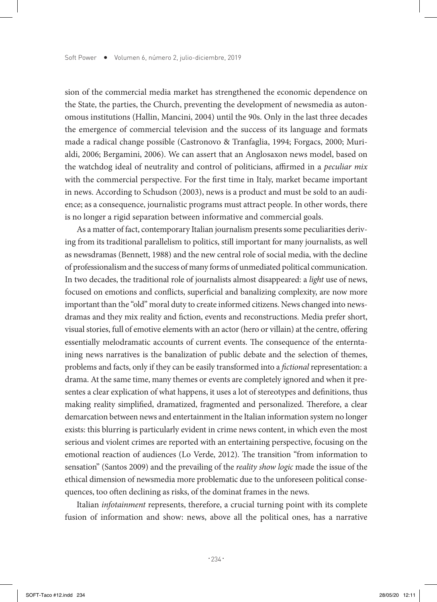sion of the commercial media market has strengthened the economic dependence on the State, the parties, the Church, preventing the development of newsmedia as autonomous institutions (Hallin, Mancini, 2004) until the 90s. Only in the last three decades the emergence of commercial television and the success of its language and formats made a radical change possible (Castronovo & Tranfaglia, 1994; Forgacs, 2000; Murialdi, 2006; Bergamini, 2006). We can assert that an Anglosaxon news model, based on the watchdog ideal of neutrality and control of politicians, affirmed in a *peculiar mix* with the commercial perspective. For the first time in Italy, market became important in news. According to Schudson (2003), news is a product and must be sold to an audience; as a consequence, journalistic programs must attract people. In other words, there is no longer a rigid separation between informative and commercial goals.

As a matter of fact, contemporary Italian journalism presents some peculiarities deriving from its traditional parallelism to politics, still important for many journalists, as well as newsdramas (Bennett, 1988) and the new central role of social media, with the decline of professionalism and the success of many forms of unmediated political communication. In two decades, the traditional role of journalists almost disappeared: a *light* use of news, focused on emotions and conflicts, superficial and banalizing complexity, are now more important than the "old" moral duty to create informed citizens. News changed into newsdramas and they mix reality and fiction, events and reconstructions. Media prefer short, visual stories, full of emotive elements with an actor (hero or villain) at the centre, offering essentially melodramatic accounts of current events. The consequence of the enterntaining news narratives is the banalization of public debate and the selection of themes, problems and facts, only if they can be easily transformed into a *fictional* representation: a drama. At the same time, many themes or events are completely ignored and when it presentes a clear explication of what happens, it uses a lot of stereotypes and definitions, thus making reality simplified, dramatized, fragmented and personalized. Therefore, a clear demarcation between news and entertainment in the Italian information system no longer exists: this blurring is particularly evident in crime news content, in which even the most serious and violent crimes are reported with an entertaining perspective, focusing on the emotional reaction of audiences (Lo Verde, 2012). The transition "from information to sensation" (Santos 2009) and the prevailing of the *reality show logic* made the issue of the ethical dimension of newsmedia more problematic due to the unforeseen political consequences, too often declining as risks, of the dominat frames in the news.

Italian *infotainment* represents, therefore, a crucial turning point with its complete fusion of information and show: news, above all the political ones, has a narrative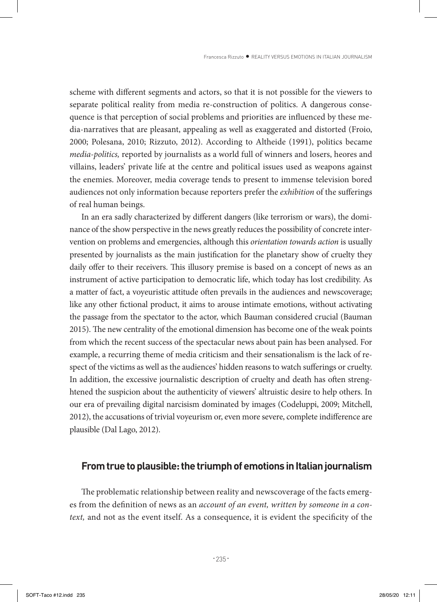scheme with different segments and actors, so that it is not possible for the viewers to separate political reality from media re-construction of politics. A dangerous consequence is that perception of social problems and priorities are influenced by these media-narratives that are pleasant, appealing as well as exaggerated and distorted (Froio, 2000; Polesana, 2010; Rizzuto, 2012). According to Altheide (1991), politics became *media-politics,* reported by journalists as a world full of winners and losers, heores and villains, leaders' private life at the centre and political issues used as weapons against the enemies. Moreover, media coverage tends to present to immense television bored audiences not only information because reporters prefer the *exhibition* of the sufferings of real human beings.

In an era sadly characterized by different dangers (like terrorism or wars), the dominance of the show perspective in the news greatly reduces the possibility of concrete intervention on problems and emergencies, although this *orientation towards action* is usually presented by journalists as the main justification for the planetary show of cruelty they daily offer to their receivers. This illusory premise is based on a concept of news as an instrument of active participation to democratic life, which today has lost credibility. As a matter of fact, a voyeuristic attitude often prevails in the audiences and newscoverage; like any other fictional product, it aims to arouse intimate emotions, without activating the passage from the spectator to the actor, which Bauman considered crucial (Bauman 2015). The new centrality of the emotional dimension has become one of the weak points from which the recent success of the spectacular news about pain has been analysed. For example, a recurring theme of media criticism and their sensationalism is the lack of respect of the victims as well as the audiences' hidden reasons to watch sufferings or cruelty. In addition, the excessive journalistic description of cruelty and death has often strenghtened the suspicion about the authenticity of viewers' altruistic desire to help others. In our era of prevailing digital narcisism dominated by images (Codeluppi, 2009; Mitchell, 2012), the accusations of trivial voyeurism or, even more severe, complete indifference are plausible (Dal Lago, 2012).

#### **From true to plausible: the triumph of emotions in Italian journalism**

The problematic relationship between reality and newscoverage of the facts emerges from the definition of news as an *account of an event, written by someone in a context,* and not as the event itself. As a consequence, it is evident the specificity of the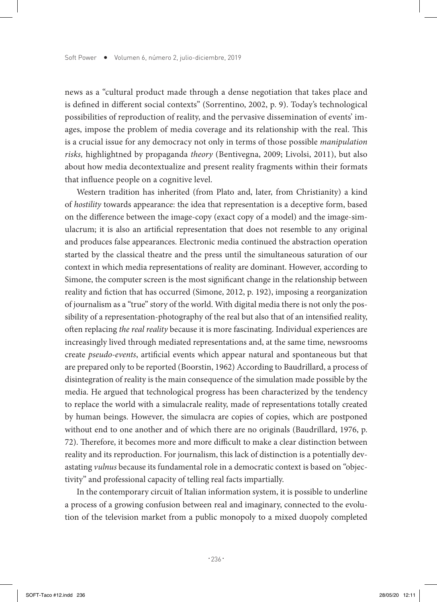news as a "cultural product made through a dense negotiation that takes place and is defined in different social contexts" (Sorrentino, 2002, p. 9). Today's technological possibilities of reproduction of reality, and the pervasive dissemination of events' images, impose the problem of media coverage and its relationship with the real. This is a crucial issue for any democracy not only in terms of those possible *manipulation risks,* highlightned by propaganda *theory* (Bentivegna, 2009; Livolsi, 2011), but also about how media decontextualize and present reality fragments within their formats that influence people on a cognitive level.

Western tradition has inherited (from Plato and, later, from Christianity) a kind of *hostility* towards appearance: the idea that representation is a deceptive form, based on the difference between the image-copy (exact copy of a model) and the image-simulacrum; it is also an artificial representation that does not resemble to any original and produces false appearances. Electronic media continued the abstraction operation started by the classical theatre and the press until the simultaneous saturation of our context in which media representations of reality are dominant. However, according to Simone, the computer screen is the most significant change in the relationship between reality and fiction that has occurred (Simone, 2012, p. 192), imposing a reorganization of journalism as a "true" story of the world. With digital media there is not only the possibility of a representation-photography of the real but also that of an intensified reality, often replacing *the real reality* because it is more fascinating. Individual experiences are increasingly lived through mediated representations and, at the same time, newsrooms create *pseudo-events*, artificial events which appear natural and spontaneous but that are prepared only to be reported (Boorstin, 1962) According to Baudrillard, a process of disintegration of reality is the main consequence of the simulation made possible by the media. He argued that technological progress has been characterized by the tendency to replace the world with a simulacrale reality, made of representations totally created by human beings. However, the simulacra are copies of copies, which are postponed without end to one another and of which there are no originals (Baudrillard, 1976, p. 72). Therefore, it becomes more and more difficult to make a clear distinction between reality and its reproduction. For journalism, this lack of distinction is a potentially devastating *vulnus* because its fundamental role in a democratic context is based on "objectivity" and professional capacity of telling real facts impartially.

In the contemporary circuit of Italian information system, it is possible to underline a process of a growing confusion between real and imaginary, connected to the evolution of the television market from a public monopoly to a mixed duopoly completed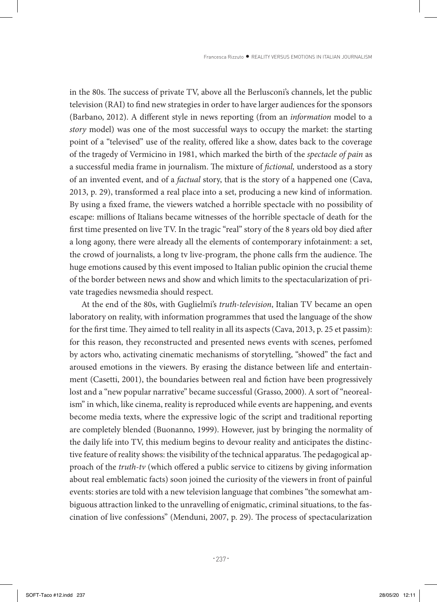in the 80s. The success of private TV, above all the Berlusconi's channels, let the public television (RAI) to find new strategies in order to have larger audiences for the sponsors (Barbano, 2012). A different style in news reporting (from an *information* model to a *story* model) was one of the most successful ways to occupy the market: the starting point of a "televised" use of the reality, offered like a show, dates back to the coverage of the tragedy of Vermicino in 1981, which marked the birth of the *spectacle of pain* as a successful media frame in journalism. The mixture of *fictional,* understood as a story of an invented event, and of a *factual* story, that is the story of a happened one (Cava, 2013, p. 29), transformed a real place into a set, producing a new kind of information. By using a fixed frame, the viewers watched a horrible spectacle with no possibility of escape: millions of Italians became witnesses of the horrible spectacle of death for the first time presented on live TV. In the tragic "real" story of the 8 years old boy died after a long agony, there were already all the elements of contemporary infotainment: a set, the crowd of journalists, a long tv live-program, the phone calls frm the audience. The huge emotions caused by this event imposed to Italian public opinion the crucial theme of the border between news and show and which limits to the spectacularization of private tragedies newsmedia should respect.

At the end of the 80s, with Guglielmi's *truth-television*, Italian TV became an open laboratory on reality, with information programmes that used the language of the show for the first time. They aimed to tell reality in all its aspects (Cava, 2013, p. 25 et passim): for this reason, they reconstructed and presented news events with scenes, perfomed by actors who, activating cinematic mechanisms of storytelling, "showed" the fact and aroused emotions in the viewers. By erasing the distance between life and entertainment (Casetti, 2001), the boundaries between real and fiction have been progressively lost and a "new popular narrative" became successful (Grasso, 2000). A sort of "neorealism" in which, like cinema, reality is reproduced while events are happening, and events become media texts, where the expressive logic of the script and traditional reporting are completely blended (Buonanno, 1999). However, just by bringing the normality of the daily life into TV, this medium begins to devour reality and anticipates the distinctive feature of reality shows: the visibility of the technical apparatus. The pedagogical approach of the *truth-tv* (which offered a public service to citizens by giving information about real emblematic facts) soon joined the curiosity of the viewers in front of painful events: stories are told with a new television language that combines "the somewhat ambiguous attraction linked to the unravelling of enigmatic, criminal situations, to the fascination of live confessions" (Menduni, 2007, p. 29). The process of spectacularization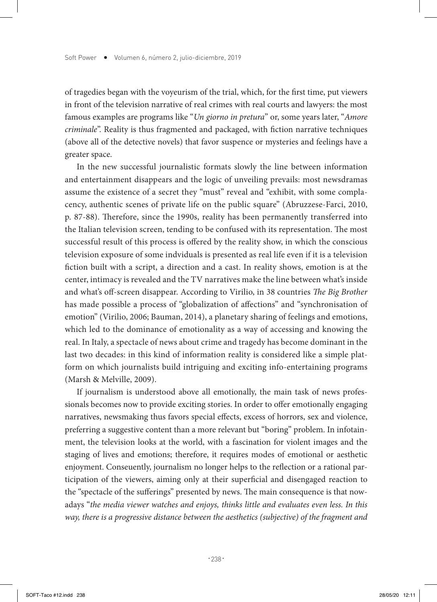of tragedies began with the voyeurism of the trial, which, for the first time, put viewers in front of the television narrative of real crimes with real courts and lawyers: the most famous examples are programs like "*Un giorno in pretura*" or, some years later, "*Amore criminale*". Reality is thus fragmented and packaged, with fiction narrative techniques (above all of the detective novels) that favor suspence or mysteries and feelings have a greater space.

In the new successful journalistic formats slowly the line between information and entertainment disappears and the logic of unveiling prevails: most newsdramas assume the existence of a secret they "must" reveal and "exhibit, with some complacency, authentic scenes of private life on the public square" (Abruzzese-Farci, 2010, p. 87-88). Therefore, since the 1990s, reality has been permanently transferred into the Italian television screen, tending to be confused with its representation. The most successful result of this process is offered by the reality show, in which the conscious television exposure of some indviduals is presented as real life even if it is a television fiction built with a script, a direction and a cast. In reality shows, emotion is at the center, intimacy is revealed and the TV narratives make the line between what's inside and what's off-screen disappear. According to Virilio, in 38 countries *The Big Brother* has made possible a process of "globalization of affections" and "synchronisation of emotion" (Virilio, 2006; Bauman, 2014), a planetary sharing of feelings and emotions, which led to the dominance of emotionality as a way of accessing and knowing the real. In Italy, a spectacle of news about crime and tragedy has become dominant in the last two decades: in this kind of information reality is considered like a simple platform on which journalists build intriguing and exciting info-entertaining programs (Marsh & Melville, 2009).

If journalism is understood above all emotionally, the main task of news professionals becomes now to provide exciting stories. In order to offer emotionally engaging narratives, newsmaking thus favors special effects, excess of horrors, sex and violence, preferring a suggestive content than a more relevant but "boring" problem. In infotainment, the television looks at the world, with a fascination for violent images and the staging of lives and emotions; therefore, it requires modes of emotional or aesthetic enjoyment. Conseuently, journalism no longer helps to the reflection or a rational participation of the viewers, aiming only at their superficial and disengaged reaction to the "spectacle of the sufferings" presented by news. The main consequence is that nowadays "*the media viewer watches and enjoys, thinks little and evaluates even less. In this way, there is a progressive distance between the aesthetics (subjective) of the fragment and*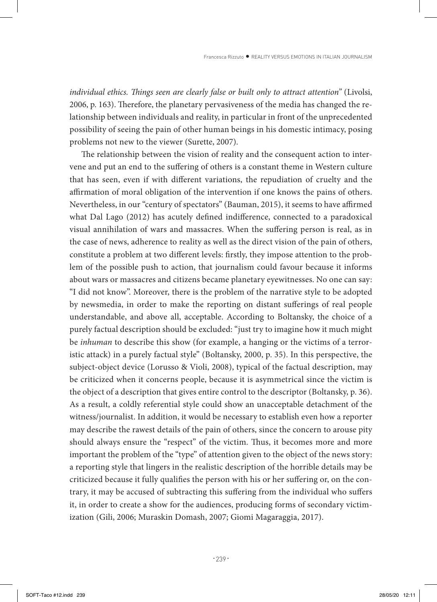*individual ethics. Things seen are clearly false or built only to attract attention"* (Livolsi, 2006, p. 163). Therefore, the planetary pervasiveness of the media has changed the relationship between individuals and reality, in particular in front of the unprecedented possibility of seeing the pain of other human beings in his domestic intimacy, posing problems not new to the viewer (Surette, 2007).

The relationship between the vision of reality and the consequent action to intervene and put an end to the suffering of others is a constant theme in Western culture that has seen, even if with different variations, the repudiation of cruelty and the affirmation of moral obligation of the intervention if one knows the pains of others. Nevertheless, in our "century of spectators" (Bauman, 2015), it seems to have affirmed what Dal Lago (2012) has acutely defined indifference, connected to a paradoxical visual annihilation of wars and massacres. When the suffering person is real, as in the case of news, adherence to reality as well as the direct vision of the pain of others, constitute a problem at two different levels: firstly, they impose attention to the problem of the possible push to action, that journalism could favour because it informs about wars or massacres and citizens became planetary eyewitnesses. No one can say: "I did not know". Moreover, there is the problem of the narrative style to be adopted by newsmedia, in order to make the reporting on distant sufferings of real people understandable, and above all, acceptable. According to Boltansky, the choice of a purely factual description should be excluded: "just try to imagine how it much might be *inhuman* to describe this show (for example, a hanging or the victims of a terroristic attack) in a purely factual style" (Boltansky, 2000, p. 35). In this perspective, the subject-object device (Lorusso & Violi, 2008), typical of the factual description, may be criticized when it concerns people, because it is asymmetrical since the victim is the object of a description that gives entire control to the descriptor (Boltansky, p. 36). As a result, a coldly referential style could show an unacceptable detachment of the witness/journalist. In addition, it would be necessary to establish even how a reporter may describe the rawest details of the pain of others, since the concern to arouse pity should always ensure the "respect" of the victim. Thus, it becomes more and more important the problem of the "type" of attention given to the object of the news story: a reporting style that lingers in the realistic description of the horrible details may be criticized because it fully qualifies the person with his or her suffering or, on the contrary, it may be accused of subtracting this suffering from the individual who suffers it, in order to create a show for the audiences, producing forms of secondary victimization (Gili, 2006; Muraskin Domash, 2007; Giomi Magaraggia, 2017).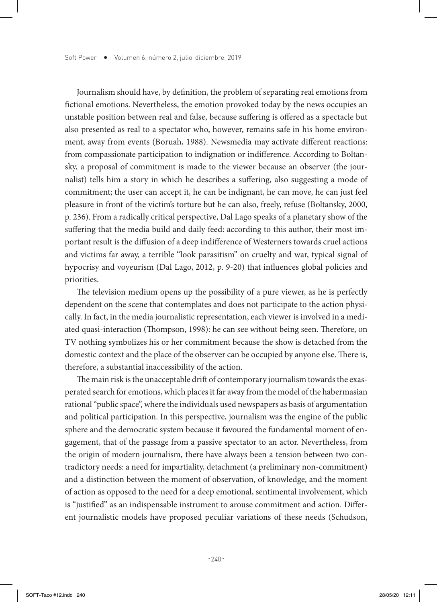Journalism should have, by definition, the problem of separating real emotions from fictional emotions. Nevertheless, the emotion provoked today by the news occupies an unstable position between real and false, because suffering is offered as a spectacle but also presented as real to a spectator who, however, remains safe in his home environment, away from events (Boruah, 1988). Newsmedia may activate different reactions: from compassionate participation to indignation or indifference. According to Boltansky, a proposal of commitment is made to the viewer because an observer (the journalist) tells him a story in which he describes a suffering, also suggesting a mode of commitment; the user can accept it, he can be indignant, he can move, he can just feel pleasure in front of the victim's torture but he can also, freely, refuse (Boltansky, 2000, p. 236). From a radically critical perspective, Dal Lago speaks of a planetary show of the suffering that the media build and daily feed: according to this author, their most important result is the diffusion of a deep indifference of Westerners towards cruel actions and victims far away, a terrible "look parasitism" on cruelty and war, typical signal of hypocrisy and voyeurism (Dal Lago, 2012, p. 9-20) that influences global policies and priorities.

The television medium opens up the possibility of a pure viewer, as he is perfectly dependent on the scene that contemplates and does not participate to the action physically. In fact, in the media journalistic representation, each viewer is involved in a mediated quasi-interaction (Thompson, 1998): he can see without being seen. Therefore, on TV nothing symbolizes his or her commitment because the show is detached from the domestic context and the place of the observer can be occupied by anyone else. There is, therefore, a substantial inaccessibility of the action.

The main risk is the unacceptable drift of contemporary journalism towards the exasperated search for emotions, which places it far away from the model of the habermasian rational "public space", where the individuals used newspapers as basis of argumentation and political participation. In this perspective, journalism was the engine of the public sphere and the democratic system because it favoured the fundamental moment of engagement, that of the passage from a passive spectator to an actor. Nevertheless, from the origin of modern journalism, there have always been a tension between two contradictory needs: a need for impartiality, detachment (a preliminary non-commitment) and a distinction between the moment of observation, of knowledge, and the moment of action as opposed to the need for a deep emotional, sentimental involvement, which is "justified" as an indispensable instrument to arouse commitment and action. Different journalistic models have proposed peculiar variations of these needs (Schudson,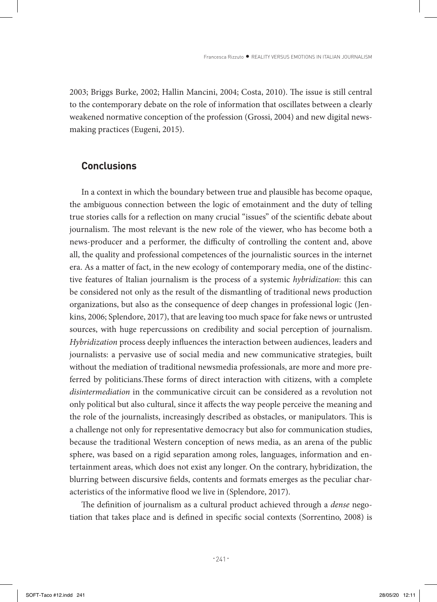2003; Briggs Burke, 2002; Hallin Mancini, 2004; Costa, 2010). The issue is still central to the contemporary debate on the role of information that oscillates between a clearly weakened normative conception of the profession (Grossi, 2004) and new digital newsmaking practices (Eugeni, 2015).

### **Conclusions**

In a context in which the boundary between true and plausible has become opaque, the ambiguous connection between the logic of emotainment and the duty of telling true stories calls for a reflection on many crucial "issues" of the scientific debate about journalism. The most relevant is the new role of the viewer, who has become both a news-producer and a performer, the difficulty of controlling the content and, above all, the quality and professional competences of the journalistic sources in the internet era. As a matter of fact, in the new ecology of contemporary media, one of the distinctive features of Italian journalism is the process of a systemic *hybridization*: this can be considered not only as the result of the dismantling of traditional news production organizations, but also as the consequence of deep changes in professional logic (Jenkins, 2006; Splendore, 2017), that are leaving too much space for fake news or untrusted sources, with huge repercussions on credibility and social perception of journalism. *Hybridization* process deeply influences the interaction between audiences, leaders and journalists: a pervasive use of social media and new communicative strategies, built without the mediation of traditional newsmedia professionals, are more and more preferred by politicians.These forms of direct interaction with citizens, with a complete *disintermediation* in the communicative circuit can be considered as a revolution not only political but also cultural, since it affects the way people perceive the meaning and the role of the journalists, increasingly described as obstacles, or manipulators. This is a challenge not only for representative democracy but also for communication studies, because the traditional Western conception of news media, as an arena of the public sphere, was based on a rigid separation among roles, languages, information and entertainment areas, which does not exist any longer. On the contrary, hybridization, the blurring between discursive fields, contents and formats emerges as the peculiar characteristics of the informative flood we live in (Splendore, 2017).

The definition of journalism as a cultural product achieved through a *dense* negotiation that takes place and is defined in specific social contexts (Sorrentino, 2008) is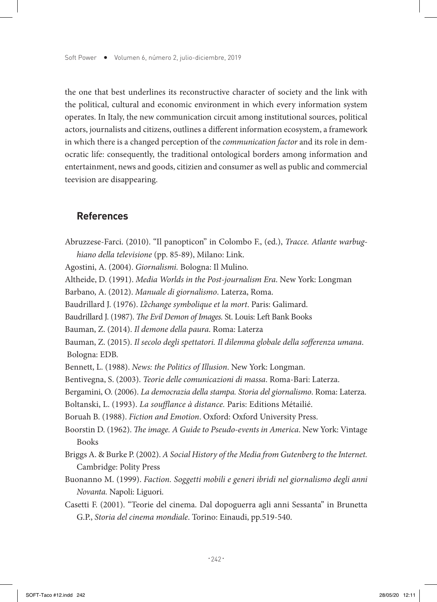the one that best underlines its reconstructive character of society and the link with the political, cultural and economic environment in which every information system operates. In Italy, the new communication circuit among institutional sources, political actors, journalists and citizens, outlines a different information ecosystem, a framework in which there is a changed perception of the *communication factor* and its role in democratic life: consequently, the traditional ontological borders among information and entertainment, news and goods, citizien and consumer as well as public and commercial teevision are disappearing.

#### **References**

Abruzzese-Farci. (2010). "Il panopticon" in Colombo F., (ed.), *Tracce. Atlante warbughiano della televisione* (pp. 85-89), Milano: Link. Agostini, A. (2004). *Giornalismi.* Bologna: Il Mulino. Altheide, D. (1991). *Media Worlds in the Post-journalism Era*. New York: Longman Barbano, A. (2012). *Manuale di giornalismo*. Laterza, Roma. Baudrillard J. (1976). *L'èchange symbolique et la mort*. Paris: Galimard. Baudrillard J. (1987). *The Evil Demon of Images.* St. Louis: Left Bank Books Bauman, Z. (2014). *Il demone della paura*. Roma: Laterza Bauman, Z. (2015). *Il secolo degli spettatori. Il dilemma globale della sofferenza umana*. Bologna: EDB. Bennett, L. (1988). *News: the Politics of Illusion*. New York: Longman. Bentivegna, S. (2003). *Teorie delle comunicazioni di massa*. Roma-Bari: Laterza. Bergamini, O. (2006). *La democrazia della stampa. Storia del giornalismo*. Roma: Laterza. Boltanski, L. (1993). *La soufflance à distance.* Paris: Editions Métailié. Boruah B. (1988). *Fiction and Emotion*. Oxford: Oxford University Press. Boorstin D. (1962). *The image. A Guide to Pseudo-events in America*. New York: Vintage Books Briggs A. & Burke P. (2002). *A Social History of the Media from Gutenberg to the Internet.* Cambridge: Polity Press Buonanno M. (1999). *Faction. Soggetti mobili e generi ibridi nel giornalismo degli anni Novanta.* Napoli: Liguori. Casetti F. (2001). "Teorie del cinema. Dal dopoguerra agli anni Sessanta" in Brunetta G.P., *Storia del cinema mondiale*. Torino: Einaudi, pp.519-540.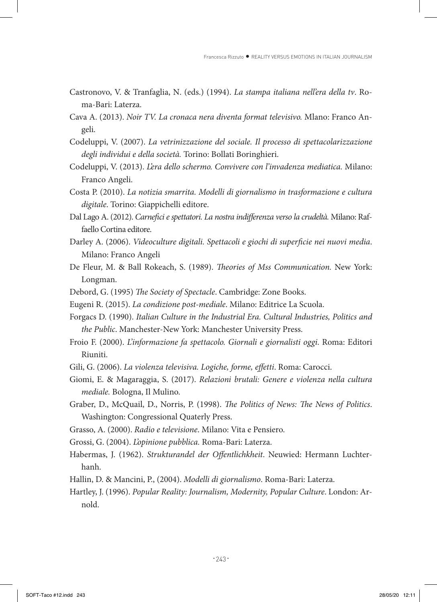- Castronovo, V. & Tranfaglia, N. (eds.) (1994). *La stampa italiana nell'era della tv*. Roma-Bari: Laterza.
- Cava A. (2013). *Noir TV. La cronaca nera diventa format televisivo.* Mlano: Franco Angeli.
- Codeluppi, V. (2007). *La vetrinizzazione del sociale. Il processo di spettacolarizzazione degli individui e della società.* Torino: Bollati Boringhieri.
- Codeluppi, V. (2013). *L'era dello schermo. Convivere con l'invadenza mediatica.* Milano: Franco Angeli.
- Costa P. (2010). *La notizia smarrita. Modelli di giornalismo in trasformazione e cultura digitale*. Torino: Giappichelli editore.
- Dal Lago A. (2012). *Carnefici e spettatori. La nostra indifferenza verso la crudeltà.* Milano: Raffaello Cortina editore.
- Darley A. (2006). *Videoculture digitali. Spettacoli e giochi di superficie nei nuovi media*. Milano: Franco Angeli
- De Fleur, M. & Ball Rokeach, S. (1989). *Theories of Mss Communication.* New York: Longman.
- Debord, G. (1995) *The Society of Spectacle*. Cambridge: Zone Books.
- Eugeni R. (2015). *La condizione post-mediale*. Milano: Editrice La Scuola.
- Forgacs D. (1990). *Italian Culture in the Industrial Era. Cultural Industries, Politics and the Public*. Manchester-New York: Manchester University Press.
- Froio F. (2000). *L'informazione fa spettacolo. Giornali e giornalisti oggi*. Roma: Editori Riuniti.
- Gili, G. (2006). *La violenza televisiva. Logiche, forme, effetti*. Roma: Carocci.
- Giomi, E. & Magaraggia, S. (2017). *Relazioni brutali: Genere e violenza nella cultura mediale.* Bologna, Il Mulino.
- Graber, D., McQuail, D., Norris, P. (1998). *The Politics of News: The News of Politics*. Washington: Congressional Quaterly Press.
- Grasso, A. (2000). *Radio e televisione*. Milano: Vita e Pensiero.
- Grossi, G. (2004). *L'opinione pubblica.* Roma-Bari: Laterza.
- Habermas, J. (1962). *Strukturandel der Offentlichkheit*. Neuwied: Hermann Luchterhanh.
- Hallin, D. & Mancini, P., (2004). *Modelli di giornalismo*. Roma-Bari: Laterza.
- Hartley, J. (1996). *Popular Reality: Journalism, Modernity, Popular Culture*. London: Arnold.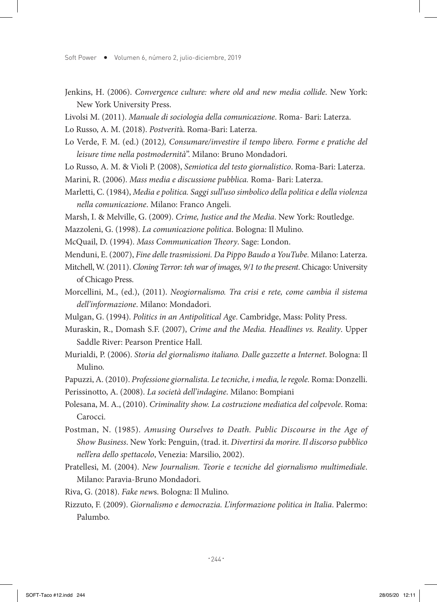- Jenkins, H. (2006). *Convergence culture: where old and new media collide*. New York: New York University Press.
- Livolsi M. (2011). *Manuale di sociologia della comunicazione*. Roma- Bari: Laterza.

Lo Russo, A. M. (2018). *Postverit*à. Roma-Bari: Laterza.

- Lo Verde, F. M. (ed.) (2012*), Consumare/investire il tempo libero. Forme e pratiche del leisure time nella postmodernità*". Milano: Bruno Mondadori.
- Lo Russo, A. M. & Violi P. (2008), *Semiotica del testo giornalistico*. Roma-Bari: Laterza.
- Marini, R. (2006). *Mass media e discussione pubblica.* Roma- Bari: Laterza.
- Marletti, C. (1984), *Media e politica. Saggi sull'uso simbolico della politica e della violenza nella comunicazione*. Milano: Franco Angeli.
- Marsh, I. & Melville, G. (2009). *Crime, Justice and the Media*. New York: Routledge.
- Mazzoleni, G. (1998). *La comunicazione politica*. Bologna: Il Mulino.

McQuail, D. (1994). *Mass Communication Theory*. Sage: London.

- Menduni, E. (2007), *Fine delle trasmissioni. Da Pippo Baudo a YouTube.* Milano: Laterza.
- Mitchell, W. (2011). *Cloning Terror: teh war of images, 9/1 to the present*. Chicago: University of Chicago Press.
- Morcellini, M., (ed.), (2011). *Neogiornalismo. Tra crisi e rete, come cambia il sistema dell'informazione*. Milano: Mondadori.
- Mulgan, G. (1994). *Politics in an Antipolitical Age*. Cambridge, Mass: Polity Press.
- Muraskin, R., Domash S.F. (2007), *Crime and the Media. Headlines vs. Reality*. Upper Saddle River: Pearson Prentice Hall.
- Murialdi, P. (2006). *Storia del giornalismo italiano. Dalle gazzette a Internet*. Bologna: Il Mulino.
- Papuzzi, A. (2010). *Professione giornalista. Le tecniche, i media, le regole.* Roma: Donzelli.
- Perissinotto, A. (2008). *La società dell'indagine*. Milano: Bompiani
- Polesana, M. A., (2010). *Criminality show. La costruzione mediatica del colpevole*. Roma: Carocci.
- Postman, N. (1985). *Amusing Ourselves to Death. Public Discourse in the Age of Show Business*. New York: Penguin, (trad. it. *Divertirsi da morire. Il discorso pubblico nell'era dello spettacolo*, Venezia: Marsilio, 2002).
- Pratellesi, M. (2004). *New Journalism. Teorie e tecniche del giornalismo multimediale*. Milano: Paravia-Bruno Mondadori.
- Riva, G. (2018). *Fake new*s. Bologna: Il Mulino.
- Rizzuto, F. (2009). *Giornalismo e democrazia. L'informazione politica in Italia*. Palermo: Palumbo.